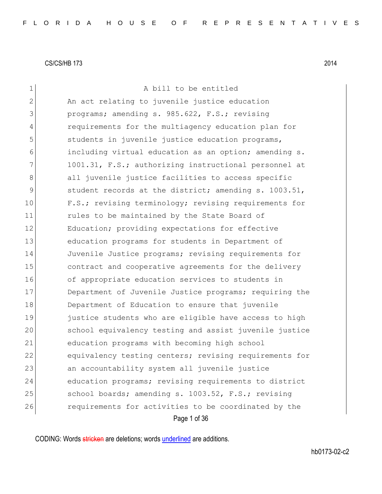| 1             | A bill to be entitled                                  |
|---------------|--------------------------------------------------------|
| 2             | An act relating to juvenile justice education          |
| 3             | programs; amending s. 985.622, F.S.; revising          |
| 4             | requirements for the multiagency education plan for    |
| 5             | students in juvenile justice education programs,       |
| 6             | including virtual education as an option; amending s.  |
| 7             | 1001.31, F.S.; authorizing instructional personnel at  |
| 8             | all juvenile justice facilities to access specific     |
| $\mathcal{G}$ | student records at the district; amending s. 1003.51,  |
| 10            | F.S.; revising terminology; revising requirements for  |
| 11            | rules to be maintained by the State Board of           |
| 12            | Education; providing expectations for effective        |
| 13            | education programs for students in Department of       |
| 14            | Juvenile Justice programs; revising requirements for   |
| 15            | contract and cooperative agreements for the delivery   |
| 16            | of appropriate education services to students in       |
| 17            | Department of Juvenile Justice programs; requiring the |
| 18            | Department of Education to ensure that juvenile        |
| 19            | justice students who are eligible have access to high  |
| 20            | school equivalency testing and assist juvenile justice |
| 21            | education programs with becoming high school           |
| 22            | equivalency testing centers; revising requirements for |
| 23            | an accountability system all juvenile justice          |
| 24            | education programs; revising requirements to district  |
| 25            | school boards; amending s. 1003.52, F.S.; revising     |
| 26            | requirements for activities to be coordinated by the   |
|               | Page 1 of 36                                           |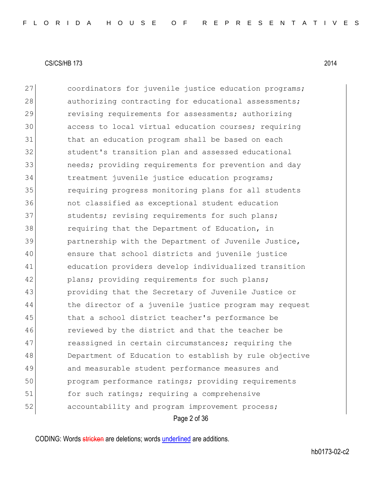Page 2 of 36 27 coordinators for juvenile justice education programs; 28 authorizing contracting for educational assessments; 29 revising requirements for assessments; authorizing 30 access to local virtual education courses; requiring 31 that an education program shall be based on each 32 student's transition plan and assessed educational 33 31 are needs; providing requirements for prevention and day 34 treatment juvenile justice education programs; 35 requiring progress monitoring plans for all students 36 not classified as exceptional student education 37 students; revising requirements for such plans; 38 requiring that the Department of Education, in 39 partnership with the Department of Juvenile Justice, 40 ensure that school districts and juvenile justice 41 education providers develop individualized transition 42 plans; providing requirements for such plans; 43 providing that the Secretary of Juvenile Justice or 44 blue director of a juvenile justice program may request 45 that a school district teacher's performance be 46 reviewed by the district and that the teacher be 47 reassigned in certain circumstances; requiring the 48 Department of Education to establish by rule objective 49 and measurable student performance measures and 50 program performance ratings; providing requirements 51 for such ratings; requiring a comprehensive 52 accountability and program improvement process;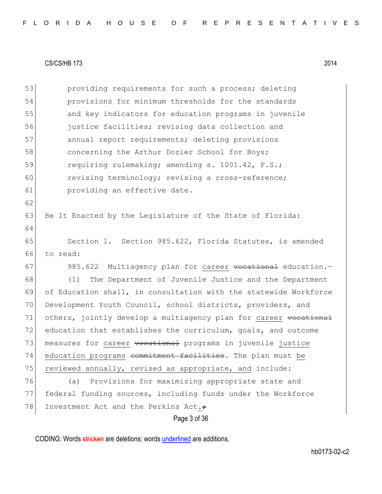Page 3 of 36 53 **providing requirements for such a process; deleting** 54 provisions for minimum thresholds for the standards 55 and key indicators for education programs in juvenile 56 justice facilities; revising data collection and 57 annual report requirements; deleting provisions 58 **concerning the Arthur Dozier School for Boys;** 59 requiring rulemaking; amending s. 1001.42, F.S.; 60 revising terminology; revising a cross-reference; 61 providing an effective date. 62 63 Be It Enacted by the Legislature of the State of Florida: 64 65 Section 1. Section 985.622, Florida Statutes, is amended 66 to read: 67 985.622 Multiagency plan for career vocational education. 68 (1) The Department of Juvenile Justice and the Department 69 of Education shall, in consultation with the statewide Workforce 70 Development Youth Council, school districts, providers, and 71 others, jointly develop a multiagency plan for career vocational 72 education that establishes the curriculum, goals, and outcome 73 measures for career vocational programs in juvenile justice 74 education programs <del>commitment facilities</del>. The plan must be 75 reviewed annually, revised as appropriate, and include: 76 (a) Provisions for maximizing appropriate state and 77 federal funding sources, including funds under the Workforce 78 Investment Act and the Perkins Act.+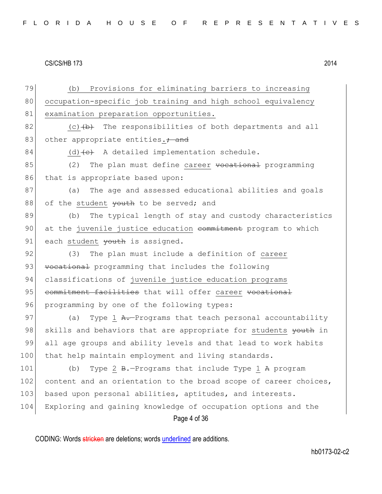Page 4 of 36 79 (b) Provisions for eliminating barriers to increasing 80 occupation-specific job training and high school equivalency 81 examination preparation opportunities.  $82$  (c)  $\leftrightarrow$  The responsibilities of both departments and all 83 other appropriate entities. $\div$  and 84 (d)  $\leftarrow$  A detailed implementation schedule.  $85$  (2) The plan must define career vocational programming 86 that is appropriate based upon: 87 (a) The age and assessed educational abilities and goals 88 of the student  $\frac{1}{2}$  wouth to be served; and 89 (b) The typical length of stay and custody characteristics 90 at the juvenile justice education commitment program to which 91 each student  $\frac{1}{2}$  wouth is assigned. 92 (3) The plan must include a definition of career 93 vocational programming that includes the following 94 classifications of juvenile justice education programs 95 commitment facilities that will offer career vocational 96 programming by one of the following types: 97 (a) Type 1 A.-Programs that teach personal accountability 98 skills and behaviors that are appropriate for students youth in 99 all age groups and ability levels and that lead to work habits 100 that help maintain employment and living standards. 101 (b) Type 2 B.-Programs that include Type 1 A program 102 content and an orientation to the broad scope of career choices, 103 based upon personal abilities, aptitudes, and interests. 104 Exploring and gaining knowledge of occupation options and the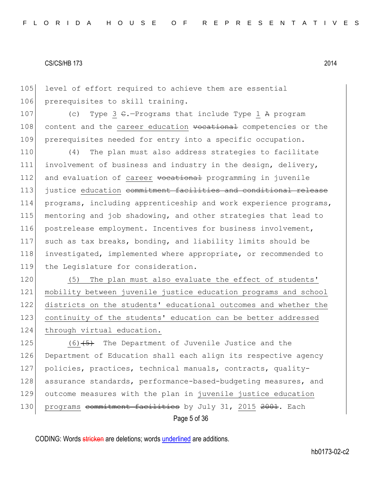105 level of effort required to achieve them are essential 106 prerequisites to skill training.

107 (c) Type 3  $\epsilon$ . Programs that include Type 1 A program 108 content and the career education vocational competencies or the 109 prerequisites needed for entry into a specific occupation.

110 (4) The plan must also address strategies to facilitate 111 involvement of business and industry in the design, delivery, 112 and evaluation of career vocational programming in juvenile 113 justice education commitment facilities and conditional release 114 programs, including apprenticeship and work experience programs, 115 mentoring and job shadowing, and other strategies that lead to 116 postrelease employment. Incentives for business involvement, 117 such as tax breaks, bonding, and liability limits should be 118 investigated, implemented where appropriate, or recommended to 119 the Legislature for consideration.

120 (5) The plan must also evaluate the effect of students' 121 mobility between juvenile justice education programs and school 122 districts on the students' educational outcomes and whether the 123 continuity of the students' education can be better addressed 124 through virtual education.

Page 5 of 36 125  $(6)$   $\overline{5}$  The Department of Juvenile Justice and the 126 Department of Education shall each align its respective agency 127 policies, practices, technical manuals, contracts, quality-128 assurance standards, performance-based-budgeting measures, and 129 outcome measures with the plan in juvenile justice education 130 programs commitment facilities by July 31, 2015 2001. Each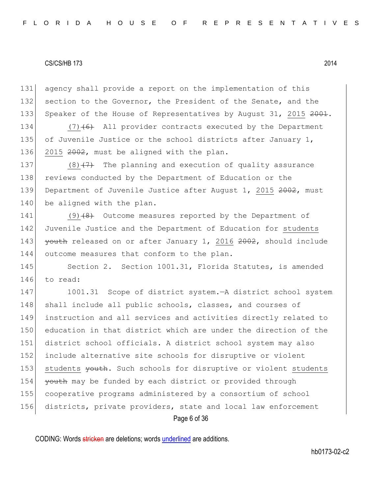131 agency shall provide a report on the implementation of this 132 section to the Governor, the President of the Senate, and the 133 Speaker of the House of Representatives by August 31, 2015 2001.

134  $(7)$  (6) All provider contracts executed by the Department 135 of Juvenile Justice or the school districts after January 1, 136 2015 2002, must be aligned with the plan.

137 (8) $(7)$  The planning and execution of quality assurance 138 reviews conducted by the Department of Education or the 139 Department of Juvenile Justice after August 1, 2015 2002, must 140 be aligned with the plan.

141 (9) $(8)$  Outcome measures reported by the Department of 142 Juvenile Justice and the Department of Education for students 143 youth released on or after January 1, 2016 2002, should include 144 outcome measures that conform to the plan.

145 Section 2. Section 1001.31, Florida Statutes, is amended 146 to read:

147 1001.31 Scope of district system. A district school system 148 shall include all public schools, classes, and courses of 149 instruction and all services and activities directly related to 150 education in that district which are under the direction of the 151 district school officials. A district school system may also 152 include alternative site schools for disruptive or violent 153 students vouth. Such schools for disruptive or violent students 154 **youth** may be funded by each district or provided through 155 cooperative programs administered by a consortium of school 156 districts, private providers, state and local law enforcement

Page 6 of 36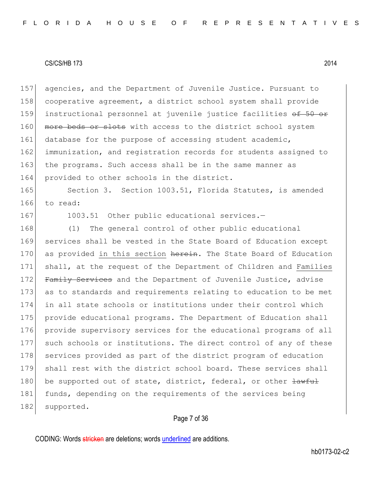157 agencies, and the Department of Juvenile Justice. Pursuant to 158 cooperative agreement, a district school system shall provide 159 instructional personnel at juvenile justice facilities of 50 or 160 more beds or slots with access to the district school system 161 database for the purpose of accessing student academic, 162 immunization, and registration records for students assigned to 163 the programs. Such access shall be in the same manner as 164 provided to other schools in the district.

165 Section 3. Section 1003.51, Florida Statutes, is amended 166 to read:

167 1003.51 Other public educational services.-

168 (1) The general control of other public educational 169 services shall be vested in the State Board of Education except 170 as provided in this section herein. The State Board of Education 171 shall, at the request of the Department of Children and Families 172 Family Services and the Department of Juvenile Justice, advise 173 as to standards and requirements relating to education to be met 174 in all state schools or institutions under their control which 175 provide educational programs. The Department of Education shall 176 provide supervisory services for the educational programs of all 177 such schools or institutions. The direct control of any of these 178 services provided as part of the district program of education 179 shall rest with the district school board. These services shall 180 be supported out of state, district, federal, or other  $\frac{1}{2}$ 181 funds, depending on the requirements of the services being 182 supported.

## Page 7 of 36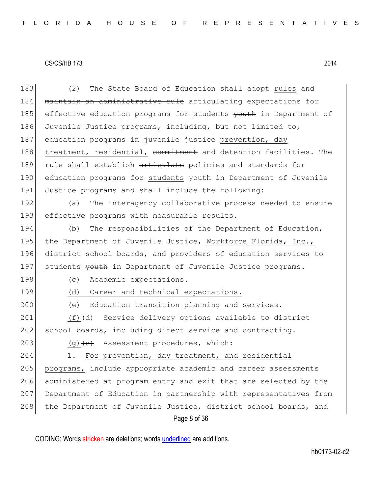| 183 | The State Board of Education shall adopt rules and<br>(2)        |
|-----|------------------------------------------------------------------|
| 184 | maintain an administrative rule articulating expectations for    |
| 185 | effective education programs for students youth in Department of |
| 186 | Juvenile Justice programs, including, but not limited to,        |
| 187 | education programs in juvenile justice prevention, day           |
| 188 | treatment, residential, commitment and detention facilities. The |
| 189 | rule shall establish articulate policies and standards for       |
| 190 | education programs for students youth in Department of Juvenile  |
| 191 | Justice programs and shall include the following:                |
| 192 | The interagency collaborative process needed to ensure<br>(a)    |
| 193 | effective programs with measurable results.                      |
| 194 | The responsibilities of the Department of Education,<br>(b)      |
| 195 | the Department of Juvenile Justice, Workforce Florida, Inc.,     |
| 196 | district school boards, and providers of education services to   |
| 197 | students youth in Department of Juvenile Justice programs.       |
| 198 | Academic expectations.<br>(C)                                    |
| 199 | (d)<br>Career and technical expectations.                        |
| 200 | Education transition planning and services.<br>(e)               |
| 201 | $(f)$ $(d)$ Service delivery options available to district       |
| 202 | school boards, including direct service and contracting.         |
| 203 | $(g)$ + $(e)$ Assessment procedures, which:                      |
| 204 | For prevention, day treatment, and residential<br>1.             |
| 205 | programs, include appropriate academic and career assessments    |
| 206 | administered at program entry and exit that are selected by the  |
| 207 | Department of Education in partnership with representatives from |
| 208 | the Department of Juvenile Justice, district school boards, and  |
|     | Page 8 of 36                                                     |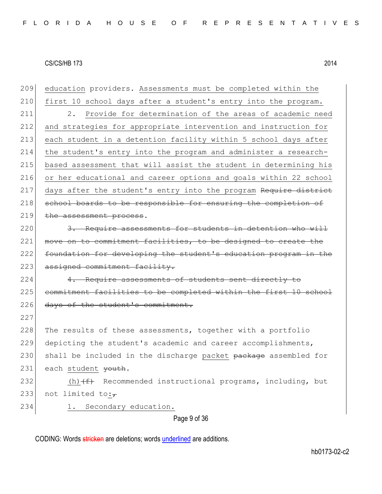| 209 | education providers. Assessments must be completed within the    |
|-----|------------------------------------------------------------------|
| 210 | first 10 school days after a student's entry into the program.   |
| 211 | 2. Provide for determination of the areas of academic need       |
| 212 | and strategies for appropriate intervention and instruction for  |
| 213 | each student in a detention facility within 5 school days after  |
| 214 | the student's entry into the program and administer a research-  |
| 215 | based assessment that will assist the student in determining his |
| 216 | or her educational and career options and goals within 22 school |
| 217 | days after the student's entry into the program Require district |
| 218 | school boards to be responsible for ensuring the completion of   |
| 219 | the assessment process.                                          |
| 220 | 3. Require assessments for students in detention who will        |
| 221 | move on to commitment facilities, to be designed to create the   |
| 222 | foundation for developing the student's education program in the |
| 223 | assigned commitment facility.                                    |
| 224 | 4. Require assessments of students sent directly to              |
| 225 | commitment facilities to be completed within the first 10 school |
| 226 | days of the student's commitment.                                |
| 227 |                                                                  |
| 228 | The results of these assessments, together with a portfolio      |
| 229 | depicting the student's academic and career accomplishments,     |
| 230 | shall be included in the discharge packet package assembled for  |
| 231 | each student youth.                                              |
| 232 | (h) $(f)$ Recommended instructional programs, including, but     |
| 233 | not limited to: $\overline{r}$                                   |
| 234 | 1. Secondary education.                                          |
|     | Page 9 of 36                                                     |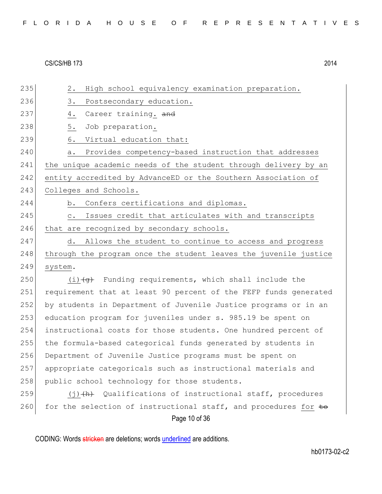| FLORIDA HOUSE OF REPRESENTATIVES |  |
|----------------------------------|--|
|----------------------------------|--|

| 235 | High school equivalency examination preparation.<br>2.             |
|-----|--------------------------------------------------------------------|
| 236 | 3.<br>Postsecondary education.                                     |
| 237 | Career training. and<br>4.                                         |
| 238 | 5.<br>Job preparation.                                             |
| 239 | Virtual education that:<br>6.                                      |
| 240 | Provides competency-based instruction that addresses<br>а.         |
| 241 | the unique academic needs of the student through delivery by an    |
| 242 | entity accredited by AdvanceED or the Southern Association of      |
| 243 | Colleges and Schools.                                              |
| 244 | Confers certifications and diplomas.<br>b.                         |
| 245 | Issues credit that articulates with and transcripts<br>$\circ$ .   |
| 246 | that are recognized by secondary schools.                          |
| 247 | Allows the student to continue to access and progress<br>d.        |
| 248 | through the program once the student leaves the juvenile justice   |
| 249 | system.                                                            |
| 250 | $(i)$ $\overline{q}$ Funding requirements, which shall include the |
| 251 | requirement that at least 90 percent of the FEFP funds generated   |
| 252 | by students in Department of Juvenile Justice programs or in an    |
| 253 | education program for juveniles under s. 985.19 be spent on        |
| 254 | instructional costs for those students. One hundred percent of     |
| 255 | the formula-based categorical funds generated by students in       |
| 256 | Department of Juvenile Justice programs must be spent on           |
| 257 | appropriate categoricals such as instructional materials and       |
| 258 | public school technology for those students.                       |
| 259 | $(j)$ $(h)$ Qualifications of instructional staff, procedures      |
| 260 | for the selection of instructional staff, and procedures for to    |
|     | Page 10 of 36                                                      |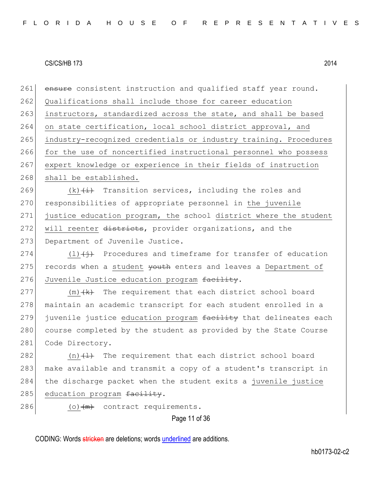261 ensure consistent instruction and qualified staff year round. 262 Qualifications shall include those for career education 263 instructors, standardized across the state, and shall be based 264 on state certification, local school district approval, and 265 industry-recognized credentials or industry training. Procedures 266 for the use of noncertified instructional personnel who possess 267 expert knowledge or experience in their fields of instruction 268 shall be established.

269  $(k)$   $(\frac{1}{k})$  Transition services, including the roles and 270 responsibilities of appropriate personnel in the juvenile 271 justice education program, the school district where the student 272 will reenter districts, provider organizations, and the 273 Department of Juvenile Justice.

274 (1) $\left(\frac{1}{1}\right)$  Procedures and timeframe for transfer of education 275 records when a student <del>youth</del> enters and leaves a Department of 276 Juvenile Justice education program facility.

 $277$  (m)  $+k$  The requirement that each district school board 278 maintain an academic transcript for each student enrolled in a 279 juvenile justice education program facility that delineates each 280 course completed by the student as provided by the State Course 281 Code Directory.

282  $(n)$   $(1)$  The requirement that each district school board 283 make available and transmit a copy of a student's transcript in 284 the discharge packet when the student exits a juvenile justice 285 education program facility.

286 (o) $\left(\frac{m}{m}\right)$  contract requirements.

## Page 11 of 36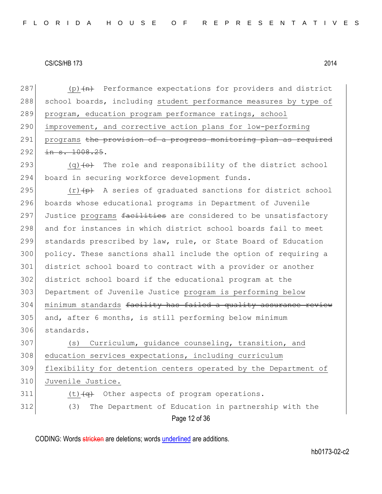287 (p) $(n)$  Performance expectations for providers and district 288 school boards, including student performance measures by type of 289 program, education program performance ratings, school 290 improvement, and corrective action plans for low-performing 291 programs the provision of a progress monitoring plan as required  $292$  in s. 1008.25.

293  $(q)$  (q) (o) The role and responsibility of the district school 294 board in securing workforce development funds.

 $(r)$  (r)  $(p)$  A series of graduated sanctions for district school boards whose educational programs in Department of Juvenile 297 Justice programs facilities are considered to be unsatisfactory and for instances in which district school boards fail to meet standards prescribed by law, rule, or State Board of Education policy. These sanctions shall include the option of requiring a district school board to contract with a provider or another district school board if the educational program at the Department of Juvenile Justice program is performing below 304 minimum standards facility has failed a quality assurance review and, after 6 months, is still performing below minimum standards.

307 (s) Curriculum, guidance counseling, transition, and 308 education services expectations, including curriculum 309 flexibility for detention centers operated by the Department of 310 Juvenile Justice.  $311$  (t) $\left(\frac{q}{q}\right)$  Other aspects of program operations.

Page 12 of 36 312 (3) The Department of Education in partnership with the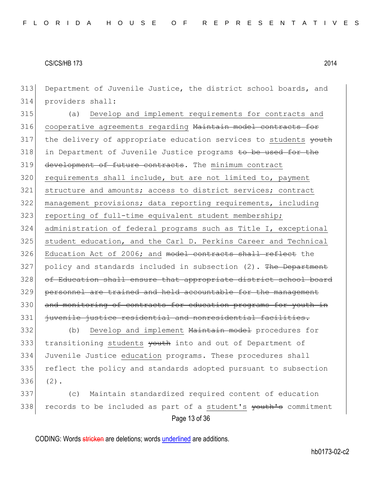313 Department of Juvenile Justice, the district school boards, and 314 providers shall:

315 (a) Develop and implement requirements for contracts and 316 cooperative agreements regarding Maintain model contracts for 317 the delivery of appropriate education services to students youth 318 in Department of Juvenile Justice programs to be used for the 319 development of future contracts. The minimum contract 320 requirements shall include, but are not limited to, payment 321 structure and amounts; access to district services; contract 322 management provisions; data reporting requirements, including 323 reporting of full-time equivalent student membership; 324 administration of federal programs such as Title I, exceptional 325 student education, and the Carl D. Perkins Career and Technical 326 Education Act of 2006; and model contracts shall reflect the  $327$  policy and standards included in subsection (2). The Department 328 of Education shall ensure that appropriate district school board 329 personnel are trained and held accountable for the management 330 and monitoring of contracts for education programs for youth in 331 juvenile justice residential and nonresidential facilities.

332 (b) Develop and implement Maintain model procedures for 333 transitioning students youth into and out of Department of 334 Juvenile Justice education programs. These procedures shall 335 reflect the policy and standards adopted pursuant to subsection 336 (2).

Page 13 of 36 337 (c) Maintain standardized required content of education 338 records to be included as part of a student's youth's commitment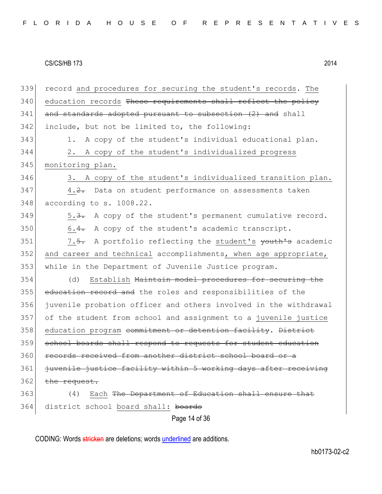| 339 | record and procedures for securing the student's records. The    |
|-----|------------------------------------------------------------------|
| 340 | education records These requirements shall reflect the policy    |
| 341 | and standards adopted pursuant to subsection (2) and shall       |
| 342 | include, but not be limited to, the following:                   |
| 343 | A copy of the student's individual educational plan.<br>1.       |
| 344 | A copy of the student's individualized progress<br>2.            |
| 345 | monitoring plan.                                                 |
| 346 | 3. A copy of the student's individualized transition plan.       |
| 347 | 4.2. Data on student performance on assessments taken            |
| 348 | according to s. 1008.22.                                         |
| 349 | 5.3. A copy of the student's permanent cumulative record.        |
| 350 | A copy of the student's academic transcript.<br>$6.4-$           |
| 351 | 7.5. A portfolio reflecting the student's youth's academic       |
| 352 | and career and technical accomplishments, when age appropriate,  |
| 353 | while in the Department of Juvenile Justice program.             |
| 354 | Establish Maintain model procedures for securing the<br>(d)      |
| 355 | education record and the roles and responsibilities of the       |
| 356 | juvenile probation officer and others involved in the withdrawal |
| 357 | of the student from school and assignment to a juvenile justice  |
| 358 | education program commitment or detention facility. District     |
| 359 | school boards shall respond to requests for student education    |
| 360 | records received from another district school board or a         |
| 361 | juvenile justice facility within 5 working days after receiving  |
| 362 | the request.                                                     |
| 363 | Each The Department of Education shall ensure that<br>(4)        |
| 364 | district school board shall: boards                              |
|     | Page 14 of 36                                                    |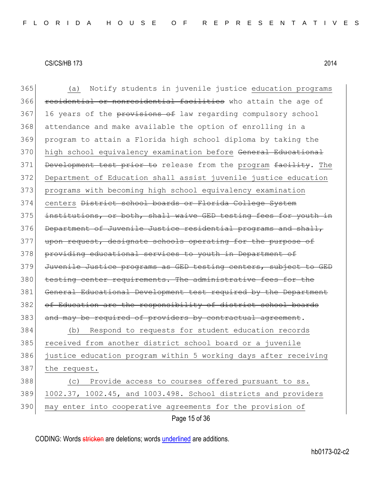Page 15 of 36 365 (a) Notify students in juvenile justice education programs 366 residential or nonresidential facilities who attain the age of 367 16 years of the provisions of law regarding compulsory school 368 attendance and make available the option of enrolling in a 369 program to attain a Florida high school diploma by taking the 370 high school equivalency examination before General Educational 371 Development test prior to release from the program facility. The 372 Department of Education shall assist juvenile justice education 373 programs with becoming high school equivalency examination 374 centers District school boards or Florida College System 375 institutions, or both, shall waive GED testing fees for youth in 376 Department of Juvenile Justice residential programs and shall, 377 upon request, designate schools operating for the purpose of 378 providing educational services to youth in Department of 379 Juvenile Justice programs as GED testing centers, subject to GED 380 testing center requirements. The administrative fees for the 381 General Educational Development test required by the Department 382 of Education are the responsibility of district school boards 383 and may be required of providers by contractual agreement. 384 (b) Respond to requests for student education records 385 received from another district school board or a juvenile 386 justice education program within 5 working days after receiving 387 the request. 388 (c) Provide access to courses offered pursuant to ss. 389 1002.37, 1002.45, and 1003.498. School districts and providers 390 may enter into cooperative agreements for the provision of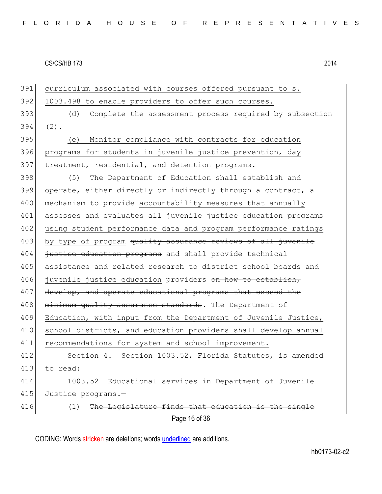Page 16 of 36 391 curriculum associated with courses offered pursuant to s. 392 1003.498 to enable providers to offer such courses. 393 (d) Complete the assessment process required by subsection  $394$  (2). 395 (e) Monitor compliance with contracts for education 396 programs for students in juvenile justice prevention, day 397 treatment, residential, and detention programs. 398 (5) The Department of Education shall establish and 399 operate, either directly or indirectly through a contract, a 400 mechanism to provide accountability measures that annually 401 assesses and evaluates all juvenile justice education programs 402 using student performance data and program performance ratings 403 by type of program quality assurance reviews of all juvenile 404 justice education programs and shall provide technical 405 assistance and related research to district school boards and 406 juvenile justice education providers on how to establish, 407 develop, and operate educational programs that exceed the 408 minimum quality assurance standards. The Department of 409 Education, with input from the Department of Juvenile Justice, 410 school districts, and education providers shall develop annual 411 recommendations for system and school improvement. 412 Section 4. Section 1003.52, Florida Statutes, is amended 413 to read: 414 1003.52 Educational services in Department of Juvenile 415 Justice programs.- $416$  (1) The Legislature finds that education is the single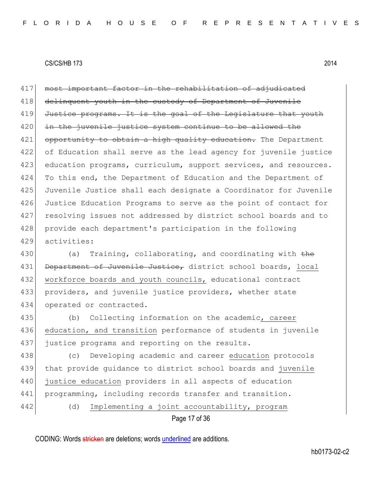417 most important factor in the rehabilitation of adjudicated 418 delinquent youth in the custody of Department of Juvenile 419 Justice programs. It is the goal of the Legislature that youth 420 in the juvenile justice system continue to be allowed the 421 opportunity to obtain a high quality education. The Department 422 of Education shall serve as the lead agency for juvenile justice 423 education programs, curriculum, support services, and resources. 424 To this end, the Department of Education and the Department of 425 Juvenile Justice shall each designate a Coordinator for Juvenile 426 Justice Education Programs to serve as the point of contact for 427 resolving issues not addressed by district school boards and to 428 provide each department's participation in the following 429 activities:

430 (a) Training, collaborating, and coordinating with  $the$ 431 Department of Juvenile Justice, district school boards, local 432 workforce boards and youth councils, educational contract 433 providers, and juvenile justice providers, whether state 434 operated or contracted.

435 (b) Collecting information on the academic, career 436 education, and transition performance of students in juvenile 437 justice programs and reporting on the results.

 (c) Developing academic and career education protocols that provide guidance to district school boards and juvenile justice education providers in all aspects of education programming, including records transfer and transition. 442 (d) Implementing a joint accountability, program

Page 17 of 36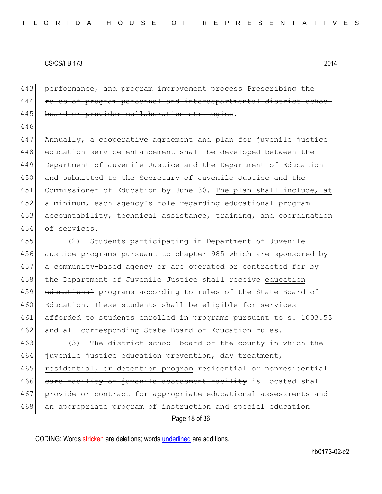443 performance, and program improvement process Prescribing the 444 roles of program personnel and interdepartmental distr 445 board or provider collaboration strategies.

446

447 Annually, a cooperative agreement and plan for juvenile justice 448 education service enhancement shall be developed between the 449 Department of Juvenile Justice and the Department of Education 450 and submitted to the Secretary of Juvenile Justice and the 451 Commissioner of Education by June 30. The plan shall include, at 452 a minimum, each agency's role regarding educational program 453 accountability, technical assistance, training, and coordination 454 of services.

455 (2) Students participating in Department of Juvenile 456 Justice programs pursuant to chapter 985 which are sponsored by 457 a community-based agency or are operated or contracted for by 458 the Department of Juvenile Justice shall receive education 459 educational programs according to rules of the State Board of 460 Education. These students shall be eligible for services 461 afforded to students enrolled in programs pursuant to s. 1003.53 462 and all corresponding State Board of Education rules.

Page 18 of 36 463 (3) The district school board of the county in which the 464 juvenile justice education prevention, day treatment, 465 residential, or detention program residential or nonresidential 466 care facility or juvenile assessment facility is located shall 467 provide or contract for appropriate educational assessments and 468 an appropriate program of instruction and special education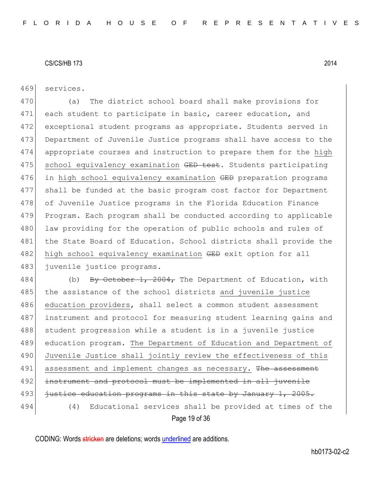469 services.

470 (a) The district school board shall make provisions for 471 each student to participate in basic, career education, and 472 exceptional student programs as appropriate. Students served in 473 Department of Juvenile Justice programs shall have access to the 474 appropriate courses and instruction to prepare them for the high 475 school equivalency examination GED test. Students participating 476 in high school equivalency examination GED preparation programs 477 shall be funded at the basic program cost factor for Department 478 of Juvenile Justice programs in the Florida Education Finance 479 Program. Each program shall be conducted according to applicable 480 law providing for the operation of public schools and rules of 481 the State Board of Education. School districts shall provide the 482 high school equivalency examination GED exit option for all 483 juvenile justice programs.

Page 19 of 36 484 (b) By October 1, 2004, The Department of Education, with 485 the assistance of the school districts and juvenile justice 486 education providers, shall select a common student assessment 487 instrument and protocol for measuring student learning gains and 488 student progression while a student is in a juvenile justice 489 education program. The Department of Education and Department of 490 Juvenile Justice shall jointly review the effectiveness of this 491 assessment and implement changes as necessary. The assessment 492 instrument and protocol must be implemented in all juvenile 493 <del>justice education programs in this state by January 1, 2005.</del> 494 (4) Educational services shall be provided at times of the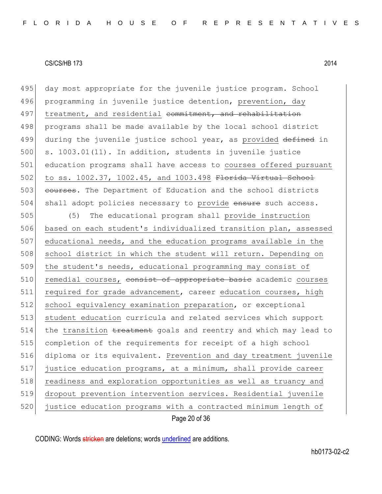495 day most appropriate for the juvenile justice program. School 496 programming in juvenile justice detention, prevention, day 497 treatment, and residential commitment, and rehabilitation 498 programs shall be made available by the local school district 499 during the juvenile justice school year, as provided defined in  $500$  s.  $1003.01(11)$ . In addition, students in juvenile justice 501 education programs shall have access to courses offered pursuant 502 to ss. 1002.37, 1002.45, and 1003.498 Florida Virtual School 503 courses. The Department of Education and the school districts 504 shall adopt policies necessary to provide ensure such access.

Page 20 of 36 505 (5) The educational program shall provide instruction 506 based on each student's individualized transition plan, assessed 507 educational needs, and the education programs available in the 508 school district in which the student will return. Depending on 509 the student's needs, educational programming may consist of 510 remedial courses, consist of appropriate basic academic courses 511 required for grade advancement, career education courses, high 512 school equivalency examination preparation, or exceptional 513 student education curricula and related services which support  $514$  the transition treatment goals and reentry and which may lead to 515 completion of the requirements for receipt of a high school 516 diploma or its equivalent. Prevention and day treatment juvenile 517 justice education programs, at a minimum, shall provide career 518 readiness and exploration opportunities as well as truancy and 519 dropout prevention intervention services. Residential juvenile 520 justice education programs with a contracted minimum length of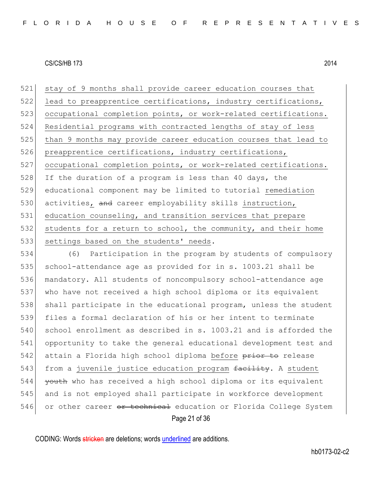521 stay of 9 months shall provide career education courses that 522 lead to preapprentice certifications, industry certifications, 523 occupational completion points, or work-related certifications. 524 Residential programs with contracted lengths of stay of less 525 | than 9 months may provide career education courses that lead to 526 preapprentice certifications, industry certifications, 527 occupational completion points, or work-related certifications. 528 If the duration of a program is less than 40 days, the 529 educational component may be limited to tutorial remediation 530 activities, and career employability skills instruction, 531 education counseling, and transition services that prepare 532 students for a return to school, the community, and their home 533 settings based on the students' needs.

Page 21 of 36 534 (6) Participation in the program by students of compulsory 535 school-attendance age as provided for in s. 1003.21 shall be 536 mandatory. All students of noncompulsory school-attendance age 537 who have not received a high school diploma or its equivalent 538 shall participate in the educational program, unless the student 539 files a formal declaration of his or her intent to terminate 540 school enrollment as described in s. 1003.21 and is afforded the 541 opportunity to take the general educational development test and 542 attain a Florida high school diploma before prior to release 543 from a juvenile justice education program facility. A student 544 <del>youth</del> who has received a high school diploma or its equivalent 545 and is not employed shall participate in workforce development 546 or other career <del>or technical</del> education or Florida College System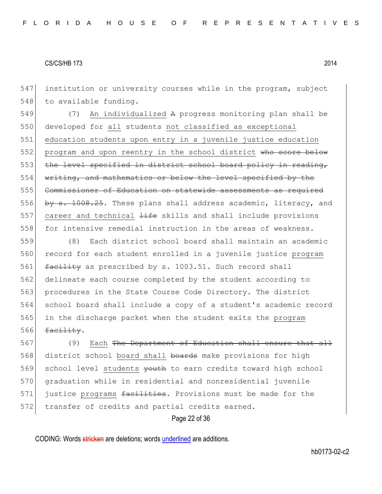547 institution or university courses while in the program, subject 548 to available funding.

549 (7) An individualized A progress monitoring plan shall be 550 developed for all students not classified as exceptional 551 education students upon entry in a juvenile justice education 552 program and upon reentry in the school district who score below 553 the level specified in district school board policy in reading, 554 writing, and mathematics or below the level specified by the 555 Commissioner of Education on statewide assessments as required 556 by  $s. 1008.25$ . These plans shall address academic, literacy, and 557 career and technical  $\frac{1}{100}$  skills and shall include provisions 558 for intensive remedial instruction in the areas of weakness.

 (8) Each district school board shall maintain an academic 560 record for each student enrolled in a juvenile justice program 561 facility as prescribed by s. 1003.51. Such record shall delineate each course completed by the student according to 563 procedures in the State Course Code Directory. The district school board shall include a copy of a student's academic record in the discharge packet when the student exits the program  $\frac{f_{\text{acility.}}}{f}$ 

567 (9) Each The Department of Education shall ensure that all 568 district school board shall boards make provisions for high 569 school level students vouth to earn credits toward high school 570 graduation while in residential and nonresidential juvenile 571 justice programs facilities. Provisions must be made for the 572 transfer of credits and partial credits earned.

Page 22 of 36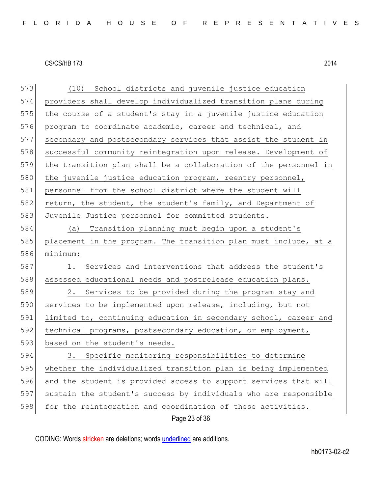| 573 | (10) School districts and juvenile justice education             |
|-----|------------------------------------------------------------------|
| 574 | providers shall develop individualized transition plans during   |
| 575 | the course of a student's stay in a juvenile justice education   |
| 576 | program to coordinate academic, career and technical, and        |
| 577 | secondary and postsecondary services that assist the student in  |
| 578 | successful community reintegration upon release. Development of  |
| 579 | the transition plan shall be a collaboration of the personnel in |
| 580 | the juvenile justice education program, reentry personnel,       |
| 581 | personnel from the school district where the student will        |
| 582 | return, the student, the student's family, and Department of     |
| 583 | Juvenile Justice personnel for committed students.               |
| 584 | (a) Transition planning must begin upon a student's              |
| 585 | placement in the program. The transition plan must include, at a |
| 586 | minimum:                                                         |
| 587 | Services and interventions that address the student's<br>1.      |
| 588 | assessed educational needs and postrelease education plans.      |
| 589 | 2. Services to be provided during the program stay and           |
| 590 | services to be implemented upon release, including, but not      |
| 591 | limited to, continuing education in secondary school, career and |
| 592 | technical programs, postsecondary education, or employment,      |
| 593 | based on the student's needs.                                    |
| 594 | 3. Specific monitoring responsibilities to determine             |
| 595 | whether the individualized transition plan is being implemented  |
| 596 | and the student is provided access to support services that will |
| 597 | sustain the student's success by individuals who are responsible |
| 598 | for the reintegration and coordination of these activities.      |
|     | Page 23 of 36                                                    |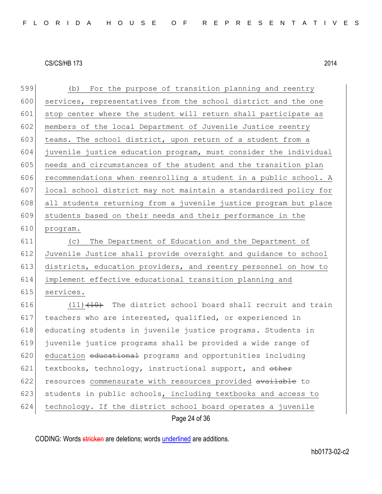| 599 | For the purpose of transition planning and reentry<br>(b)        |
|-----|------------------------------------------------------------------|
| 600 | services, representatives from the school district and the one   |
| 601 | stop center where the student will return shall participate as   |
| 602 | members of the local Department of Juvenile Justice reentry      |
| 603 | teams. The school district, upon return of a student from a      |
| 604 | juvenile justice education program, must consider the individual |
| 605 | needs and circumstances of the student and the transition plan   |
| 606 | recommendations when reenrolling a student in a public school. A |
| 607 | local school district may not maintain a standardized policy for |
| 608 | all students returning from a juvenile justice program but place |
| 609 | students based on their needs and their performance in the       |
| 610 | program.                                                         |
| 611 | The Department of Education and the Department of<br>(C)         |
| 612 | Juvenile Justice shall provide oversight and guidance to school  |
| 613 | districts, education providers, and reentry personnel on how to  |
| 614 | implement effective educational transition planning and          |
| 615 | services.                                                        |
| 616 | $(11)$ $(10)$ The district school board shall recruit and train  |
| 617 | teachers who are interested, qualified, or experienced in        |
| 618 | educating students in juvenile justice programs. Students in     |
| 619 | juvenile justice programs shall be provided a wide range of      |
| 620 | education educational programs and opportunities including       |
| 621 | textbooks, technology, instructional support, and other          |
| 622 | resources commensurate with resources provided available to      |
| 623 | students in public schools, including textbooks and access to    |
| 624 | technology. If the district school board operates a juvenile     |
|     | Page 24 of 36                                                    |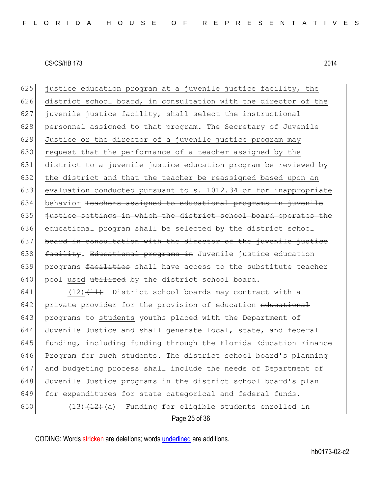625 justice education program at a juvenile justice facility, the 626 district school board, in consultation with the director of the 627 juvenile justice facility, shall select the instructional 628 personnel assigned to that program. The Secretary of Juvenile 629 Justice or the director of a juvenile justice program may 630 request that the performance of a teacher assigned by the 631 district to a juvenile justice education program be reviewed by 632 the district and that the teacher be reassigned based upon an 633 evaluation conducted pursuant to s. 1012.34 or for inappropriate 634 behavior Teachers assigned to educational programs in juvenile  $635$  justice settings in which the district school board operates the 636 educational program shall be selected by the district school 637 board in consultation with the director of the juvenile justice 638 facility. Educational programs in Juvenile justice education 639 programs facilities shall have access to the substitute teacher  $640$  pool used utilized by the district school board.

641 (12) $(11)$  District school boards may contract with a 642 private provider for the provision of education educational 643 programs to students youths placed with the Department of 644 Juvenile Justice and shall generate local, state, and federal 645  $\vert$  funding, including funding through the Florida Education Finance 646 Program for such students. The district school board's planning 647 and budgeting process shall include the needs of Department of 648 Juvenile Justice programs in the district school board's plan 649 for expenditures for state categorical and federal funds. 650 (13) $\frac{12}{12}$  (a) Funding for eligible students enrolled in

Page 25 of 36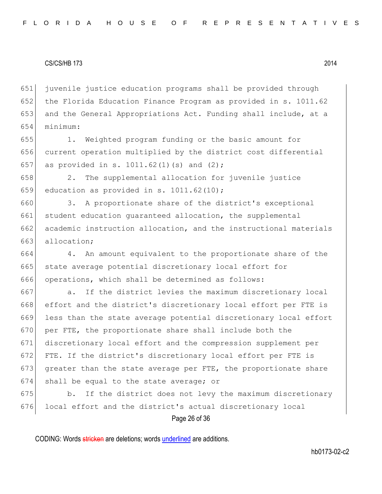651 juvenile justice education programs shall be provided through 652 the Florida Education Finance Program as provided in s. 1011.62 653 and the General Appropriations Act. Funding shall include, at a 654 minimum:

655 1. Weighted program funding or the basic amount for 656 current operation multiplied by the district cost differential 657 as provided in s. 1011.62(1)(s) and (2);

658 2. The supplemental allocation for juvenile justice 659 education as provided in s. 1011.62 $(10)$ ;

660 3. A proportionate share of the district's exceptional 661 student education quaranteed allocation, the supplemental 662 academic instruction allocation, and the instructional materials 663 allocation:

664 4. An amount equivalent to the proportionate share of the 665 state average potential discretionary local effort for 666 operations, which shall be determined as follows:

667 a. If the district levies the maximum discretionary local effort and the district's discretionary local effort per FTE is less than the state average potential discretionary local effort 670 per FTE, the proportionate share shall include both the discretionary local effort and the compression supplement per FTE. If the district's discretionary local effort per FTE is greater than the state average per FTE, the proportionate share shall be equal to the state average; or

675 b. If the district does not levy the maximum discretionary 676 local effort and the district's actual discretionary local

Page 26 of 36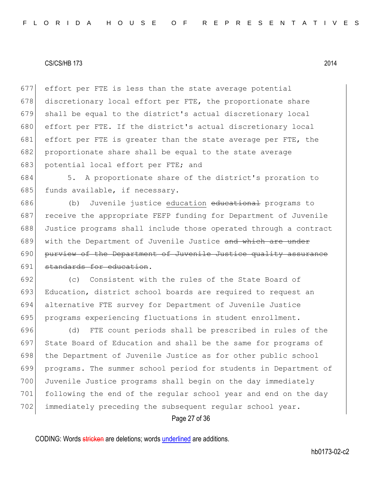677 effort per FTE is less than the state average potential 678 discretionary local effort per FTE, the proportionate share 679 shall be equal to the district's actual discretionary local 680 effort per FTE. If the district's actual discretionary local 681 effort per FTE is greater than the state average per FTE, the 682 proportionate share shall be equal to the state average 683 potential local effort per FTE; and

684 5. A proportionate share of the district's proration to 685 funds available, if necessary.

686 (b) Juvenile justice education educational programs to 687 receive the appropriate FEFP funding for Department of Juvenile 688 Justice programs shall include those operated through a contract 689 with the Department of Juvenile Justice and which are under 690 purview of the Department of Juvenile Justice quality assurance 691 standards for education.

692 (c) Consistent with the rules of the State Board of 693 Education, district school boards are required to request an 694 alternative FTE survey for Department of Juvenile Justice 695 programs experiencing fluctuations in student enrollment.

696 (d) FTE count periods shall be prescribed in rules of the 697 State Board of Education and shall be the same for programs of 698 the Department of Juvenile Justice as for other public school 699 programs. The summer school period for students in Department of 700 Juvenile Justice programs shall begin on the day immediately 701 following the end of the regular school year and end on the day 702 immediately preceding the subsequent regular school year.

Page 27 of 36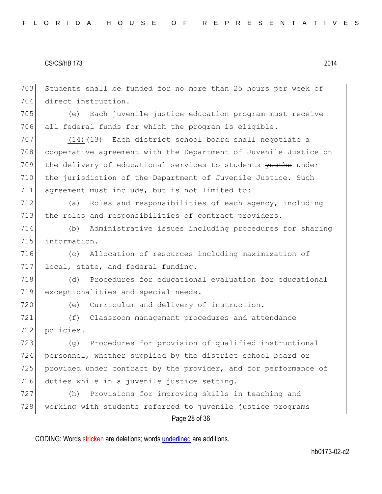Students shall be funded for no more than 25 hours per week of direct instruction.

 (e) Each juvenile justice education program must receive 706 all federal funds for which the program is eligible.

 (14) $\left(14\right)$  Each district school board shall negotiate a cooperative agreement with the Department of Juvenile Justice on 709 the delivery of educational services to students youths under the jurisdiction of the Department of Juvenile Justice. Such agreement must include, but is not limited to:

712 (a) Roles and responsibilities of each agency, including 713 the roles and responsibilities of contract providers.

 (b) Administrative issues including procedures for sharing information.

 (c) Allocation of resources including maximization of 717 local, state, and federal funding.

 (d) Procedures for educational evaluation for educational exceptionalities and special needs.

(e) Curriculum and delivery of instruction.

 (f) Classroom management procedures and attendance policies.

 (g) Procedures for provision of qualified instructional personnel, whether supplied by the district school board or 725 provided under contract by the provider, and for performance of duties while in a juvenile justice setting.

Page 28 of 36 (h) Provisions for improving skills in teaching and 728 working with students referred to juvenile justice programs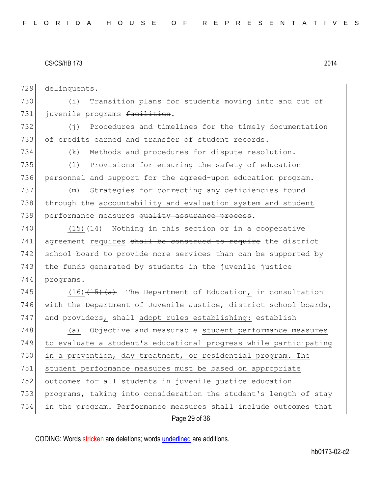| 729 | delinquents.                                                         |
|-----|----------------------------------------------------------------------|
| 730 | Transition plans for students moving into and out of<br>(i)          |
| 731 | juvenile programs facilities.                                        |
| 732 | Procedures and timelines for the timely documentation<br>$(\dagger)$ |
| 733 | of credits earned and transfer of student records.                   |
| 734 | Methods and procedures for dispute resolution.<br>(k)                |
| 735 | (1)<br>Provisions for ensuring the safety of education               |
| 736 | personnel and support for the agreed-upon education program.         |
| 737 | Strategies for correcting any deficiencies found<br>(m)              |
| 738 | through the accountability and evaluation system and student         |
| 739 | performance measures quality assurance process.                      |
| 740 | $(15)$ $(14)$ Nothing in this section or in a cooperative            |
| 741 | agreement requires shall be construed to require the district        |
| 742 | school board to provide more services than can be supported by       |
| 743 | the funds generated by students in the juvenile justice              |
| 744 | programs.                                                            |
| 745 | $(16)$ $(15)$ $(a)$ The Department of Education, in consultation     |
| 746 | with the Department of Juvenile Justice, district school boards,     |
| 747 | and providers, shall adopt rules establishing: establish             |
| 748 | Objective and measurable student performance measures<br>(a)         |
| 749 | to evaluate a student's educational progress while participating     |
| 750 | in a prevention, day treatment, or residential program. The          |
| 751 | student performance measures must be based on appropriate            |
| 752 | outcomes for all students in juvenile justice education              |
| 753 | programs, taking into consideration the student's length of stay     |
| 754 | in the program. Performance measures shall include outcomes that     |
|     | Page 29 of 36                                                        |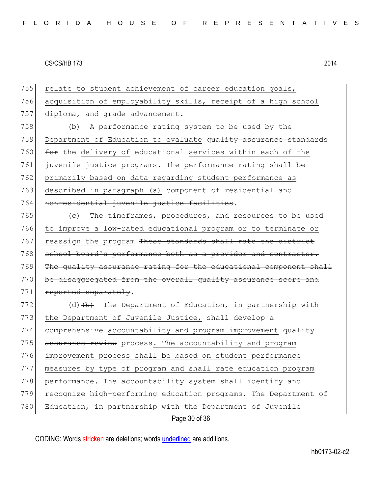Page 30 of 36 755 relate to student achievement of career education goals, 756 acquisition of employability skills, receipt of a high school 757 diploma, and grade advancement. 758 (b) A performance rating system to be used by the 759 Department of Education to evaluate quality assurance standards 760  $f$  for the delivery of educational services within each of the 761 juvenile justice programs. The performance rating shall be 762 primarily based on data regarding student performance as 763 described in paragraph (a) component of residential and 764 nonresidential juvenile justice facilities. 765 (c) The timeframes, procedures, and resources to be used 766 to improve a low-rated educational program or to terminate or 767 reassign the program These standards shall rate the district 768 school board's performance both as a provider and contractor. 769 The quality assurance rating for the educational component shall 770 be disaggregated from the overall quality assurance score and 771 reported separately. 772 (d)  $\left(\frac{b}{b}\right)$  The Department of Education, in partnership with 773 the Department of Juvenile Justice, shall develop a 774 comprehensive accountability and program improvement quality 775 assurance review process. The accountability and program 776 improvement process shall be based on student performance 777 measures by type of program and shall rate education program 778 performance. The accountability system shall identify and 779 recognize high-performing education programs. The Department of 780 Education, in partnership with the Department of Juvenile

CODING: Words stricken are deletions; words underlined are additions.

hb0173-02-c2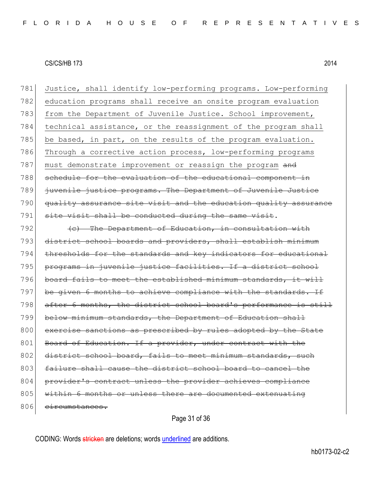781 Justice, shall identify low-performing programs. Low-performing 782 education programs shall receive an onsite program evaluation 783 from the Department of Juvenile Justice. School improvement, 784 technical assistance, or the reassignment of the program shall  $785$  be based, in part, on the results of the program evaluation. 786 Through a corrective action process, low-performing programs 787 must demonstrate improvement or reassign the program and 788 schedule for the evaluation of the educational component in 789 juvenile justice programs. The Department of Juvenile Justice 790 quality assurance site visit and the education quality assurance 791 site visit shall be conducted during the same visit.  $792$  (c) The Department of Education, in consultation with 793 district school boards and providers, shall establish minimum 794 thresholds for the standards and key indicators for educational 795 programs in juvenile justice facilities. If a district school 796 board fails to meet the established minimum standards, it will 797 be given 6 months to achieve compliance with the standards. If 798 after 6 months, the district school board's performance is still 799 below minimum standards, the Department of Education shall 800 exercise sanctions as prescribed by rules adopted by the State 801 Board of Education. If a provider, under contract with the 802 district school board, fails to meet minimum standards, 803 failure shall cause the district school board to cancel the 804 provider's contract unless the provider achieves compliance 805 within 6 months or unless there are documented extenuating 806 eircumstances.

Page 31 of 36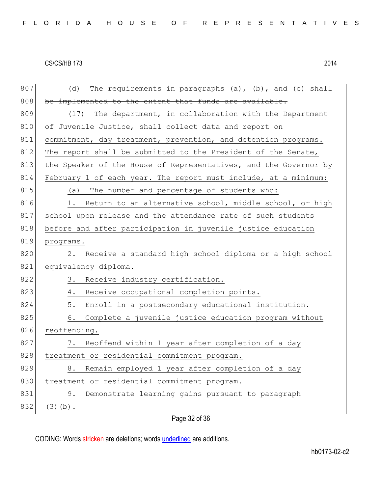| 807 | The requirements in paragraphs (a), (b), and (c) shall           |
|-----|------------------------------------------------------------------|
| 808 | be implemented to the extent that funds are available.           |
| 809 | The department, in collaboration with the Department<br>(17)     |
| 810 | of Juvenile Justice, shall collect data and report on            |
| 811 | commitment, day treatment, prevention, and detention programs.   |
| 812 | The report shall be submitted to the President of the Senate,    |
| 813 | the Speaker of the House of Representatives, and the Governor by |
| 814 | February 1 of each year. The report must include, at a minimum:  |
| 815 | (a) The number and percentage of students who:                   |
| 816 | Return to an alternative school, middle school, or high<br>1.    |
| 817 | school upon release and the attendance rate of such students     |
| 818 | before and after participation in juvenile justice education     |
| 819 | programs.                                                        |
| 820 | Receive a standard high school diploma or a high school<br>2.    |
| 821 | equivalency diploma.                                             |
| 822 | 3.<br>Receive industry certification.                            |
| 823 | Receive occupational completion points.<br>4.                    |
| 824 | 5.<br>Enroll in a postsecondary educational institution.         |
| 825 | 6.<br>Complete a juvenile justice education program without      |
| 826 | reoffending.                                                     |
| 827 | 7. Reoffend within 1 year after completion of a day              |
| 828 | treatment or residential commitment program.                     |
| 829 | Remain employed 1 year after completion of a day<br>8.           |
| 830 | treatment or residential commitment program.                     |
| 831 | Demonstrate learning gains pursuant to paragraph<br>9.           |
| 832 | $(3)$ (b).                                                       |
|     | Page 32 of 36                                                    |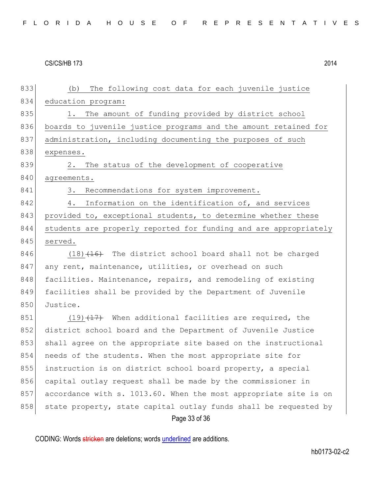Page 33 of 36 833 (b) The following cost data for each juvenile justice 834 education program: 835 1. The amount of funding provided by district school 836 boards to juvenile justice programs and the amount retained for 837 administration, including documenting the purposes of such 838 expenses. 839 2. The status of the development of cooperative 840 agreements. 841 3. Recommendations for system improvement. 842 4. Information on the identification of, and services 843 provided to, exceptional students, to determine whether these 844 students are properly reported for funding and are appropriately 845 served.  $846$  (18) $\left(16\right)$  The district school board shall not be charged 847 any rent, maintenance, utilities, or overhead on such 848 facilities. Maintenance, repairs, and remodeling of existing 849 facilities shall be provided by the Department of Juvenile 850 Justice.  $851$  (19)  $\left(17\right)$  When additional facilities are required, the 852 district school board and the Department of Juvenile Justice 853 shall agree on the appropriate site based on the instructional 854 needs of the students. When the most appropriate site for 855 instruction is on district school board property, a special 856 capital outlay request shall be made by the commissioner in 857 accordance with s. 1013.60. When the most appropriate site is on 858 state property, state capital outlay funds shall be requested by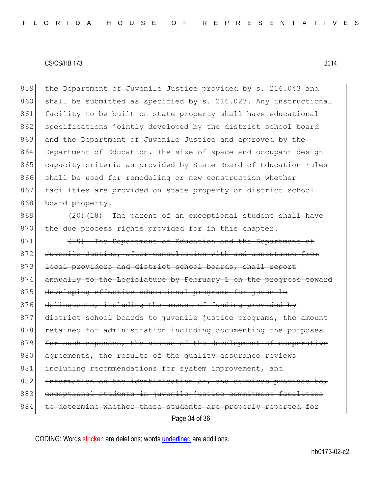859 the Department of Juvenile Justice provided by s. 216.043 and 860 shall be submitted as specified by s. 216.023. Any instructional 861 facility to be built on state property shall have educational 862 specifications jointly developed by the district school board 863 and the Department of Juvenile Justice and approved by the 864 Department of Education. The size of space and occupant design 865 capacity criteria as provided by State Board of Education rules 866 shall be used for remodeling or new construction whether 867 facilities are provided on state property or district school 868 board property.

 $869$  (20)<del>(18)</del> The parent of an exceptional student shall have 870 the due process rights provided for in this chapter.

Page 34 of 36 871 (19) The Department of Education and the Department of 872 Juvenile Justice, after consultation with and assistance from 873 local providers and district school boards, shall report 874 annually to the Legislature by February 1 on the progress toward 875 developing effective educational programs for juvenile 876 delinquents, including the amount of funding provided by 877 district school boards to juvenile justice programs, the amount 878 retained for administration including documenting the purposes 879 for such expenses, the status of the development of cooperative 880 agreements, the results of the quality assurance reviews 881 including recommendations for system improvement, and 882 information on the identification of, and services provided 883 exceptional students in juvenile justice commitment facilities 884 to determine whether these students are properly reported for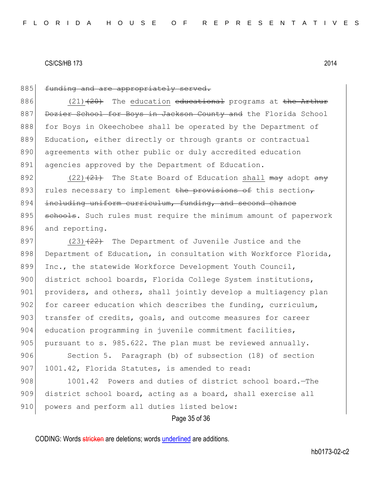### 885 funding and are appropriately served.

886  $(21)$   $(20)$  The education educational programs at the Arthur 887 Dozier School for Boys in Jackson County and the Florida School 888 for Boys in Okeechobee shall be operated by the Department of 889 Education, either directly or through grants or contractual 890 agreements with other public or duly accredited education 891 agencies approved by the Department of Education.

892  $(22)$   $\left(21\right)$  The State Board of Education shall may adopt any 893 rules necessary to implement the provisions of this section, 894 including uniform curriculum, funding, and second chance 895 schools. Such rules must require the minimum amount of paperwork 896 and reporting.

897 (23) $(23)$  The Department of Juvenile Justice and the 898 Department of Education, in consultation with Workforce Florida, 899 Inc., the statewide Workforce Development Youth Council, 900 district school boards, Florida College System institutions, 901 providers, and others, shall jointly develop a multiagency plan 902 for career education which describes the funding, curriculum, 903 transfer of credits, goals, and outcome measures for career 904 education programming in juvenile commitment facilities, 905 pursuant to s. 985.622. The plan must be reviewed annually.

906 Section 5. Paragraph (b) of subsection (18) of section 907 1001.42, Florida Statutes, is amended to read:

908 1001.42 Powers and duties of district school board. - The 909 district school board, acting as a board, shall exercise all 910 powers and perform all duties listed below:

Page 35 of 36